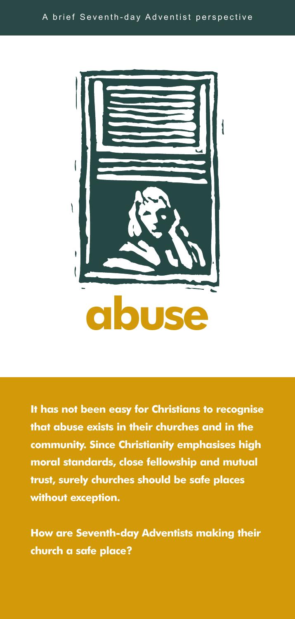

**It has not been easy for Christians to recognise that abuse exists in their churches and in the community. Since Christianity emphasises high moral standards, close fellowship and mutual trust, surely churches should be safe places without exception.**

**How are Seventh-day Adventists making their church a safe place?**